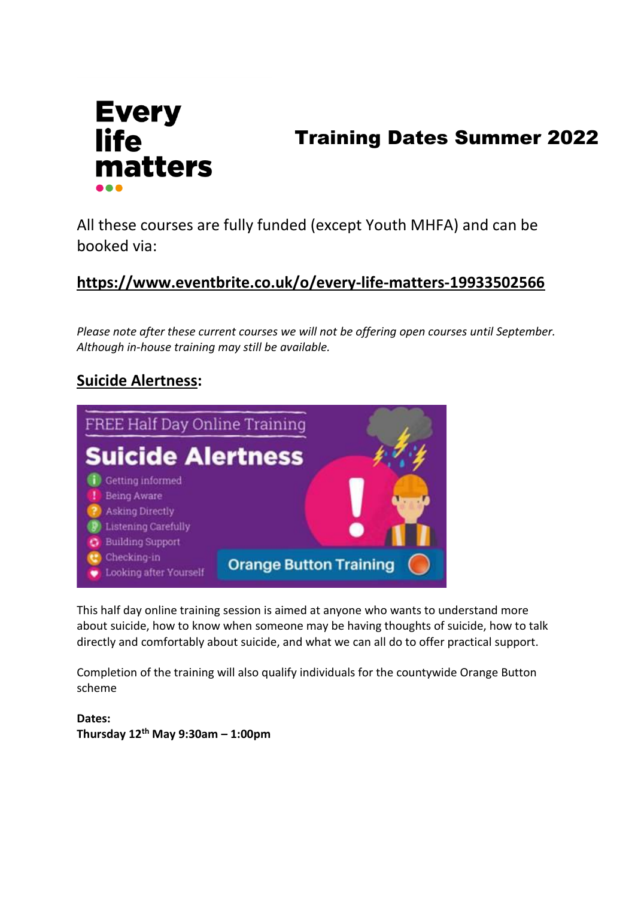

# Training Dates Summer 2022

All these courses are fully funded (except Youth MHFA) and can be booked via:

# **<https://www.eventbrite.co.uk/o/every-life-matters-19933502566>**

*Please note after these current courses we will not be offering open courses until September. Although in-house training may still be available.*

#### **Suicide Alertness:**



This half day online training session is aimed at anyone who wants to understand more about suicide, how to know when someone may be having thoughts of suicide, how to talk directly and comfortably about suicide, and what we can all do to offer practical support.

Completion of the training will also qualify individuals for the countywide Orange Button scheme

**Dates: Thursday 12th May 9:30am – 1:00pm**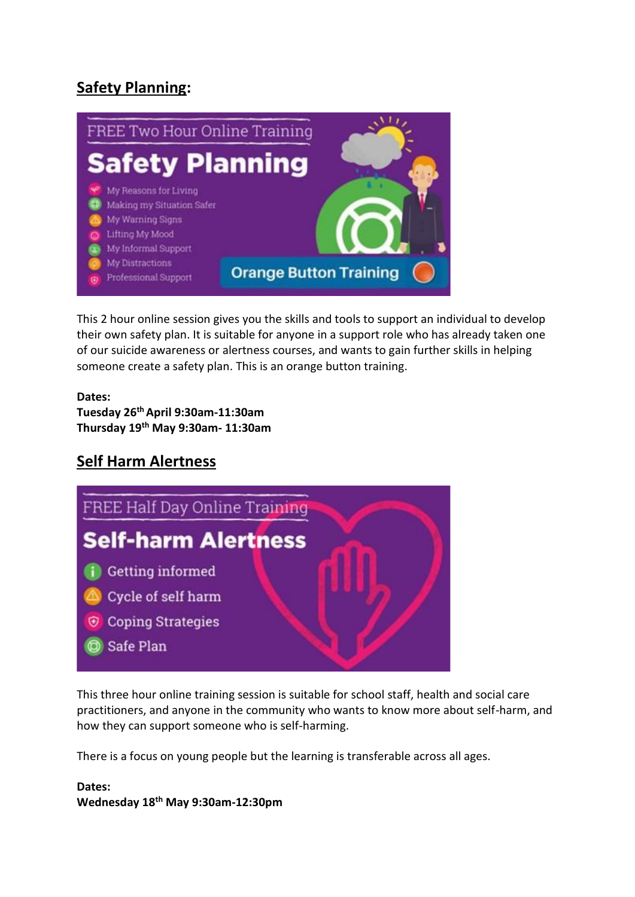# **Safety Planning:**



This 2 hour online session gives you the skills and tools to support an individual to develop their own safety plan. It is suitable for anyone in a support role who has already taken one of our suicide awareness or alertness courses, and wants to gain further skills in helping someone create a safety plan. This is an orange button training.

#### **Dates:**

**Tuesday 26th April 9:30am-11:30am Thursday 19th May 9:30am- 11:30am**

#### **Self Harm Alertness**



This three hour online training session is suitable for school staff, health and social care practitioners, and anyone in the community who wants to know more about self-harm, and how they can support someone who is self-harming.

There is a focus on young people but the learning is transferable across all ages.

#### **Dates:**

**Wednesday 18th May 9:30am-12:30pm**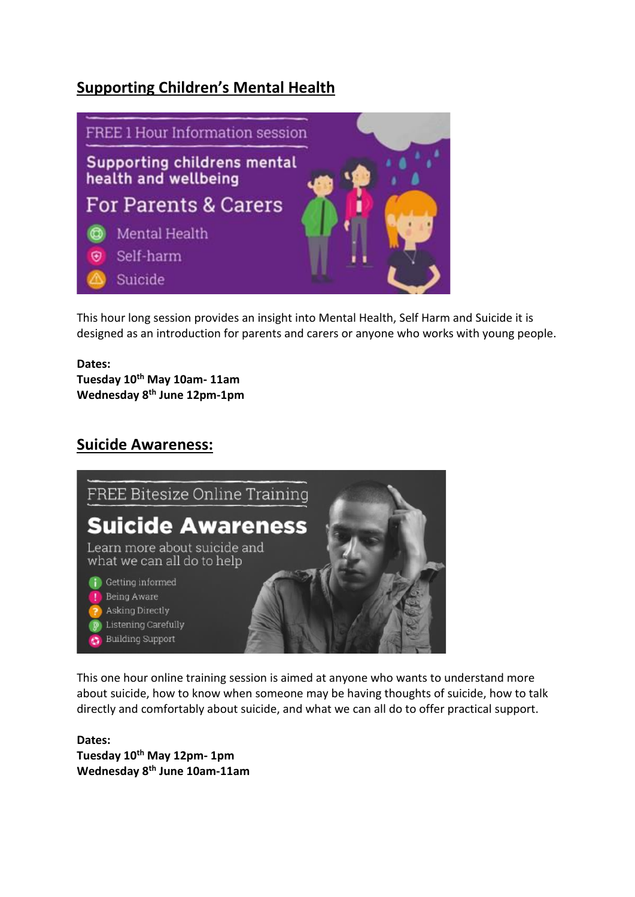### **Supporting Children's Mental Health**



This hour long session provides an insight into Mental Health, Self Harm and Suicide it is designed as an introduction for parents and carers or anyone who works with young people.

# **Dates:**

**Tuesday 10th May 10am- 11am Wednesday 8th June 12pm-1pm**

#### **Suicide Awareness:**



This one hour online training session is aimed at anyone who wants to understand more about suicide, how to know when someone may be having thoughts of suicide, how to talk directly and comfortably about suicide, and what we can all do to offer practical support.

**Dates: Tuesday 10th May 12pm- 1pm Wednesday 8th June 10am-11am**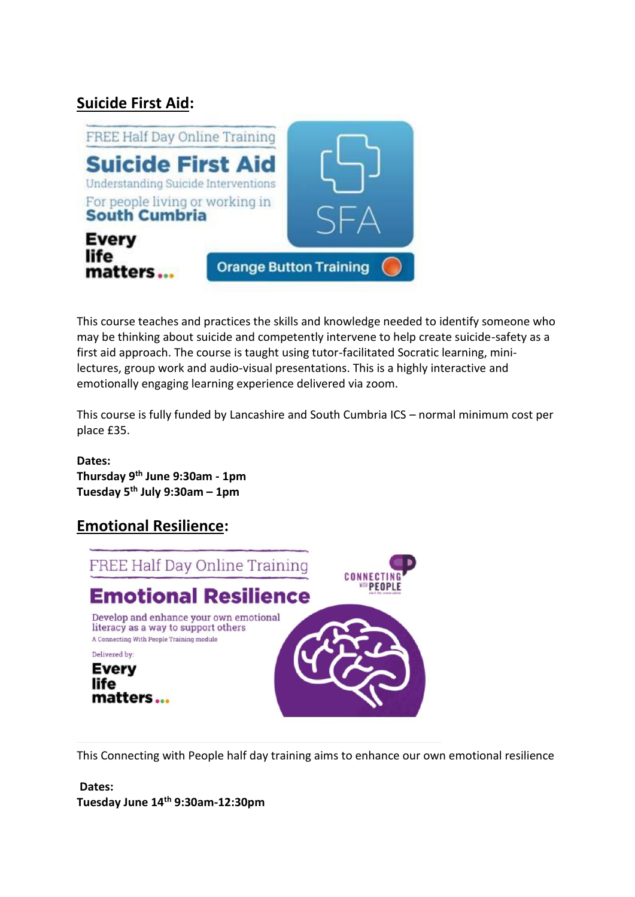### **Suicide First Aid:**



This course teaches and practices the skills and knowledge needed to identify someone who may be thinking about suicide and competently intervene to help create suicide-safety as a first aid approach. The course is taught using tutor-facilitated Socratic learning, minilectures, group work and audio-visual presentations. This is a highly interactive and emotionally engaging learning experience delivered via zoom.

This course is fully funded by Lancashire and South Cumbria ICS – normal minimum cost per place £35.

#### **Dates:**

**Thursday 9th June 9:30am - 1pm Tuesday 5th July 9:30am – 1pm**

#### **Emotional Resilience:**



This Connecting with People half day training aims to enhance our own emotional resilience

#### **Dates: Tuesday June 14th 9:30am-12:30pm**